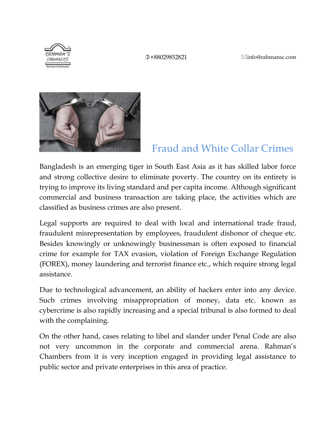**①+88029852821** 2info@rahmansc.com



# Fraud and White Collar Crimes

Bangladesh is an emerging tiger in South East Asia as it has skilled labor force and strong collective desire to eliminate poverty. The country on its entirety is trying to improve its living standard and per capita income. Although significant commercial and business transaction are taking place, the activities which are classified as business crimes are also present.

Legal supports are required to deal with local and international trade fraud, fraudulent misrepresentation by employees, fraudulent dishonor of cheque etc. Besides knowingly or unknowingly businessman is often exposed to financial crime for example for TAX evasion, violation of Foreign Exchange Regulation (FOREX), money laundering and terrorist finance etc., which require strong legal assistance.

Due to technological advancement, an ability of hackers enter into any device. Such crimes involving misappropriation of money, data etc. known as cybercrime is also rapidly increasing and a special tribunal is also formed to deal with the complaining.

On the other hand, cases relating to libel and slander under Penal Code are also not very uncommon in the corporate and commercial arena. Rahman's Chambers from it is very inception engaged in providing legal assistance to public sector and private enterprises in this area of practice.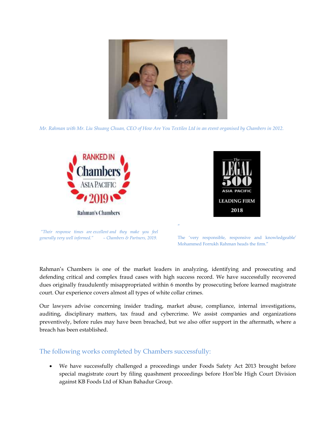

*Mr. Rahman with Mr. Liu Shuang Chuan, CEO of How Are You Textiles Ltd in an event organised by Chambers in 2012.*





*"Their response times are excellent and they make you feel generally very well informed." – Chambers & Partners, 2019.*

The 'very responsible, responsive and knowledgeable' Mohammed Forrukh Rahman heads the firm."

Rahman"s Chambers is one of the market leaders in analyzing, identifying and prosecuting and defending critical and complex fraud cases with high success record. We have successfully recovered dues originally fraudulently misappropriated within 6 months by prosecuting before learned magistrate court. Our experience covers almost all types of white collar crimes.

"

Our lawyers advise concerning insider trading, market abuse, compliance, internal investigations, auditing, disciplinary matters, tax fraud and cybercrime. We assist companies and organizations preventively, before rules may have been breached, but we also offer support in the aftermath, where a breach has been established.

# The following works completed by Chambers successfully:

 We have successfully challenged a proceedings under Foods Safety Act 2013 brought before special magistrate court by filing quashment proceedings before Hon"ble High Court Division against KB Foods Ltd of Khan Bahadur Group.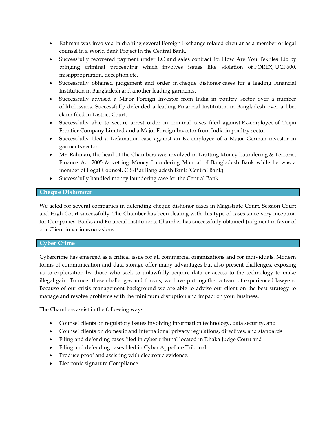- Rahman was involved in drafting several Foreign Exchange related circular as a member of legal counsel in a World Bank Project in the Central Bank.
- Successfully recovered payment under LC and sales contract for How Are You Textiles Ltd by bringing criminal proceeding which involves issues like violation of FOREX, UCP600, misappropriation, deception etc.
- Successfully obtained judgement and order in cheque dishonor cases for a leading Financial Institution in Bangladesh and another leading garments.
- Successfully advised a Major Foreign Investor from India in poultry sector over a number of libel issues. Successfully defended a leading Financial Institution in Bangladesh over a libel claim filed in District Court.
- Successfully able to secure arrest order in criminal cases filed against Ex-employee of Teijin Frontier Company Limited and a Major Foreign Investor from India in poultry sector.
- Successfully filed a Defamation case against an Ex-employee of a Major German investor in garments sector.
- Mr. Rahman, the head of the Chambers was involved in Drafting Money Laundering & Terrorist Finance Act 2005 & vetting Money Laundering Manual of Bangladesh Bank while he was a member of Legal Counsel, CBSP at Bangladesh Bank (Central Bank).
- Successfully handled money laundering case for the Central Bank.

## **Cheque Dishonour**

We acted for several companies in defending cheque dishonor cases in Magistrate Court, Session Court and High Court successfully. The Chamber has been dealing with this type of cases since very inception for Companies, Banks and Financial Institutions. Chamber has successfully obtained Judgment in favor of our Client in various occasions.

#### **Cyber Crime**

Cybercrime has emerged as a critical issue for all commercial organizations and for individuals. Modern forms of communication and data storage offer many advantages but also present challenges, exposing us to exploitation by those who seek to unlawfully acquire data or access to the technology to make illegal gain. To meet these challenges and threats, we have put together a team of experienced lawyers. Because of our crisis management background we are able to advise our client on the best strategy to manage and resolve problems with the minimum disruption and impact on your business.

The Chambers assist in the following ways:

- Counsel clients on regulatory issues involving information technology, data security, and
- Counsel clients on domestic and international privacy regulations, directives, and standards
- Filing and defending cases filed in cyber tribunal located in Dhaka Judge Court and
- Filing and defending cases filed in Cyber Appellate Tribunal.
- Produce proof and assisting with electronic evidence.
- Electronic signature Compliance.